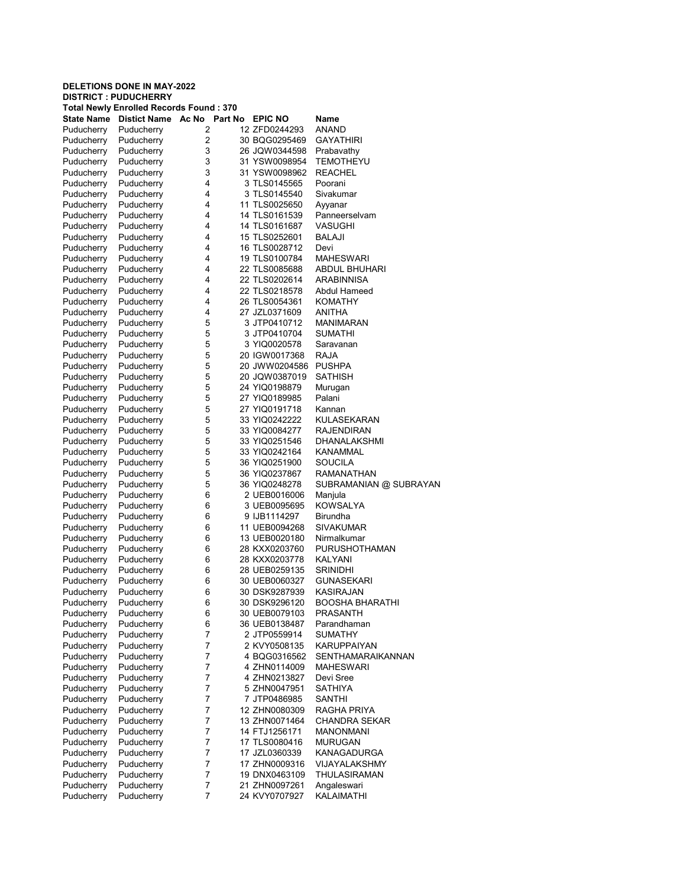| Total Newly Enrolled Records Found : 370 |                    |         |  |                                |                          |  |  |
|------------------------------------------|--------------------|---------|--|--------------------------------|--------------------------|--|--|
| <b>State Name</b>                        | Distict Name Ac No | Part No |  | <b>EPIC NO</b>                 | Name                     |  |  |
| Puducherry                               | Puducherry         | 2       |  | 12 ZFD0244293                  | ANAND                    |  |  |
| Puducherry                               | Puducherry         | 2       |  | 30 BQG0295469                  | <b>GAYATHIRI</b>         |  |  |
| Puducherry                               | Puducherry         | 3       |  | 26 JQW0344598                  | Prabavathy               |  |  |
| Puducherry                               | Puducherry         | 3       |  | 31 YSW0098954                  | <b>TEMOTHEYU</b>         |  |  |
| Puducherry                               | Puducherry         | 3       |  | 31 YSW0098962                  | <b>REACHEL</b>           |  |  |
| Puducherry                               | Puducherry         | 4       |  | 3 TLS0145565                   | Poorani                  |  |  |
| Puducherry                               | Puducherry         | 4       |  | 3 TLS0145540                   | Sivakumar                |  |  |
| Puducherry                               | Puducherry         | 4       |  | 11 TLS0025650                  | Ayyanar                  |  |  |
| Puducherry                               | Puducherry         | 4       |  | 14 TLS0161539                  | Panneerselvam            |  |  |
| Puducherry                               | Puducherry         | 4       |  | 14 TLS0161687                  | VASUGHI                  |  |  |
| Puducherry                               | Puducherry         | 4       |  | 15 TLS0252601                  | BALAJI                   |  |  |
| Puducherry                               | Puducherry         | 4       |  | 16 TLS0028712                  | Devi                     |  |  |
| Puducherry                               | Puducherry         | 4       |  | 19 TLS0100784                  | <b>MAHESWARI</b>         |  |  |
| Puducherry                               | Puducherry         | 4       |  | 22 TLS0085688                  | ABDUL BHUHARI            |  |  |
| Puducherry                               | Puducherry         | 4       |  | 22 TLS0202614                  | ARABINNISA               |  |  |
| Puducherry                               | Puducherry         | 4       |  | 22 TLS0218578                  | Abdul Hameed             |  |  |
| Puducherry                               | Puducherry         | 4       |  | 26 TLS0054361                  | KOMATHY                  |  |  |
| Puducherry                               | Puducherry         | 4       |  | 27 JZL0371609                  | ANITHA                   |  |  |
| Puducherry                               | Puducherry         | 5       |  | 3 JTP0410712                   | MANIMARAN                |  |  |
| Puducherry                               | Puducherry         | 5       |  | 3 JTP0410704                   | SUMATHI                  |  |  |
|                                          |                    | 5       |  | 3 YIQ0020578                   | Saravanan                |  |  |
| Puducherry                               | Puducherry         |         |  | 20 IGW0017368                  |                          |  |  |
| Puducherry                               | Puducherry         | 5       |  |                                | RAJA                     |  |  |
| Puducherry                               | Puducherry         | 5       |  | 20 JWW0204586                  | <b>PUSHPA</b>            |  |  |
| Puducherry                               | Puducherry         | 5       |  | 20 JQW0387019                  | <b>SATHISH</b>           |  |  |
| Puducherry                               | Puducherry         | 5       |  | 24 YIQ0198879                  | Murugan                  |  |  |
| Puducherry                               | Puducherry         | 5       |  | 27 YIQ0189985                  | Palani                   |  |  |
| Puducherry                               | Puducherry         | 5       |  | 27 YIQ0191718                  | Kannan                   |  |  |
| Puducherry                               | Puducherry         | 5       |  | 33 YIQ0242222                  | KULASEKARAN              |  |  |
| Puducherry                               | Puducherry         | 5       |  | 33 YIQ0084277                  | <b>RAJENDIRAN</b>        |  |  |
| Puducherry                               | Puducherry         | 5       |  | 33 YIQ0251546                  | DHANALAKSHMI             |  |  |
| Puducherry                               | Puducherry         | 5       |  | 33 YIQ0242164                  | <b>KANAMMAL</b>          |  |  |
| Puducherry                               | Puducherry         | 5       |  | 36 YIQ0251900                  | SOUCILA                  |  |  |
| Puducherry                               | Puducherry         | 5       |  | 36 YIQ0237867                  | RAMANATHAN               |  |  |
| Puducherry                               | Puducherry         | 5       |  | 36 YIQ0248278                  | SUBRAMANIAN @ SUBRAYAN   |  |  |
| Puducherry                               | Puducherry         | 6       |  | 2 UEB0016006                   | Manjula                  |  |  |
| Puducherry                               | Puducherry         | 6       |  | 3 UEB0095695                   | KOWSALYA                 |  |  |
| Puducherry                               | Puducherry         | 6       |  | 9 IJB1114297                   | Birundha                 |  |  |
| Puducherry                               | Puducherry         | 6       |  | 11 UEB0094268                  | <b>SIVAKUMAR</b>         |  |  |
| Puducherry                               | Puducherry         | 6       |  | 13 UEB0020180                  | Nirmalkumar              |  |  |
| Puducherry                               | Puducherry         | 6       |  | 28 KXX0203760                  | PURUSHOTHAMAN            |  |  |
| Puducherry                               | Puducherry         | 6       |  | 28 KXX0203778                  | <b>KALYANI</b>           |  |  |
| Puducherry                               | Puducherry         | 6       |  | 28 UEB0259135                  | <b>SRINIDHI</b>          |  |  |
| Puducherry                               | Puducherry         | 6       |  | 30 UEB0060327                  | <b>GUNASEKARI</b>        |  |  |
| Puducherry                               | Puducherry         | 6       |  | 30 DSK9287939                  | KASIRAJAN                |  |  |
| Puducherry                               | Puducherry         | 6       |  | 30 DSK9296120                  | <b>BOOSHA BHARATHI</b>   |  |  |
| Puducherry                               | Puducherry         | 6       |  | 30 UEB0079103                  | <b>PRASANTH</b>          |  |  |
| Puducherry                               | Puducherry         | 6       |  | 36 UEB0138487                  | Parandhaman              |  |  |
| Puducherry                               | Puducherry         | 7       |  | 2 JTP0559914                   | <b>SUMATHY</b>           |  |  |
| Puducherry                               | Puducherry         | 7       |  | 2 KVY0508135                   | KARUPPAIYAN              |  |  |
| Puducherry                               | Puducherry         | 7       |  | 4 BQG0316562                   | <b>SENTHAMARAIKANNAN</b> |  |  |
| Puducherry                               | Puducherry         | 7       |  | 4 ZHN0114009                   | MAHESWARI                |  |  |
| Puducherry                               | Puducherry         | 7       |  | 4 ZHN0213827                   | Devi Sree                |  |  |
| Puducherry                               | Puducherry         | 7       |  | 5 ZHN0047951                   | <b>SATHIYA</b>           |  |  |
| Puducherry                               | Puducherry         | 7       |  | 7 JTP0486985                   | SANTHI                   |  |  |
| Puducherry                               | Puducherry         | 7       |  | 12 ZHN0080309                  | RAGHA PRIYA              |  |  |
| Puducherry                               | Puducherry         | 7       |  | 13 ZHN0071464                  | <b>CHANDRA SEKAR</b>     |  |  |
| Puducherry                               | Puducherry         | 7       |  | 14 FTJ1256171                  | <b>MANONMANI</b>         |  |  |
| Puducherry                               | Puducherry         | 7       |  | 17 TLS0080416                  | <b>MURUGAN</b>           |  |  |
|                                          |                    |         |  |                                |                          |  |  |
| Puducherry                               | Puducherry         | 7<br>7  |  | 17 JZL0360339<br>17 ZHN0009316 | KANAGADURGA              |  |  |
| Puducherry                               | Puducherry         |         |  |                                | VIJAYALAKSHMY            |  |  |
| Puducherry                               | Puducherry         | 7       |  | 19 DNX0463109                  | THULASIRAMAN             |  |  |
| Puducherry                               | Puducherry         | 7       |  | 21 ZHN0097261                  | Angaleswari              |  |  |
| Puducherry                               | Puducherry         | 7       |  | 24 KVY0707927                  | KALAIMATHI               |  |  |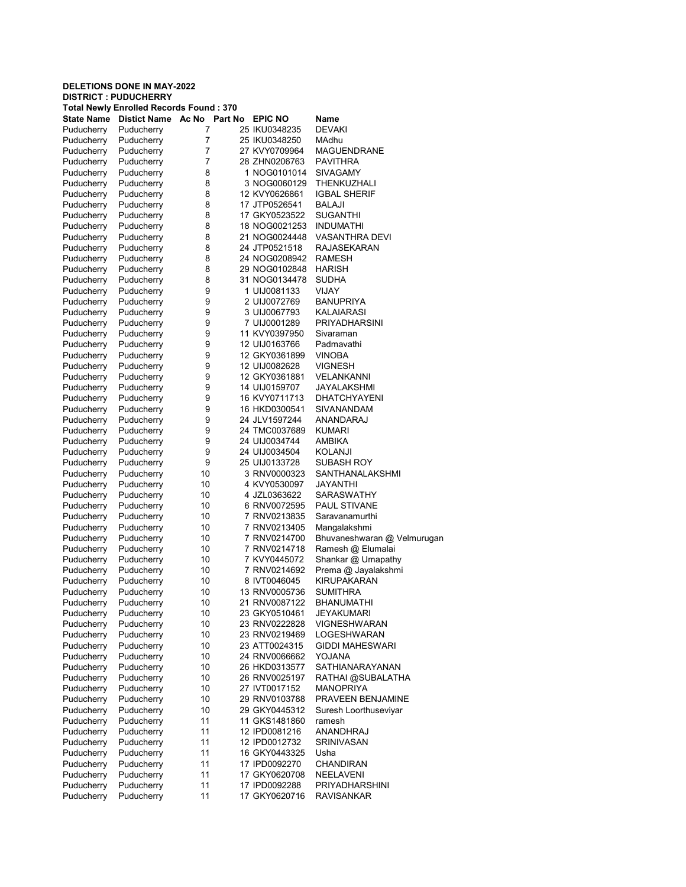| <b>Total Newly Enrolled Records Found: 370</b> |                    |                |  |                              |                             |  |  |
|------------------------------------------------|--------------------|----------------|--|------------------------------|-----------------------------|--|--|
| <b>State Name</b>                              | Distict Name Ac No | <b>Part No</b> |  | <b>EPIC NO</b>               | Name                        |  |  |
| Puducherry                                     | Puducherry         | 7              |  | 25 IKU0348235                | <b>DEVAKI</b>               |  |  |
| Puducherry                                     | Puducherry         | 7              |  | 25 IKU0348250                | MAdhu                       |  |  |
| Puducherry                                     | Puducherry         | 7              |  | 27 KVY0709964                | <b>MAGUENDRANE</b>          |  |  |
| Puducherry                                     | Puducherry         | 7              |  | 28 ZHN0206763                | PAVITHRA                    |  |  |
| Puducherry                                     | Puducherry         | 8              |  | 1 NOG0101014                 | SIVAGAMY                    |  |  |
| Puducherry                                     | Puducherry         | 8              |  | 3 NOG0060129                 | THENKUZHALI                 |  |  |
| Puducherry                                     | Puducherry         | 8              |  | 12 KVY0626861                | <b>IGBAL SHERIF</b>         |  |  |
| Puducherry                                     | Puducherry         | 8              |  | 17 JTP0526541                | <b>BALAJI</b>               |  |  |
| Puducherry                                     | Puducherry         | 8              |  | 17 GKY0523522                | <b>SUGANTHI</b>             |  |  |
| Puducherry                                     | Puducherry         | 8              |  | 18 NOG0021253                | <b>INDUMATHI</b>            |  |  |
| Puducherry                                     | Puducherry         | 8              |  | 21 NOG0024448                | <b>VASANTHRA DEVI</b>       |  |  |
| Puducherry                                     | Puducherry         | 8              |  | 24 JTP0521518                | RAJASEKARAN                 |  |  |
| Puducherry                                     | Puducherry         | 8              |  | 24 NOG0208942                | RAMESH                      |  |  |
| Puducherry                                     | Puducherry         | 8              |  | 29 NOG0102848                | <b>HARISH</b>               |  |  |
|                                                |                    | 8              |  | 31 NOG0134478                | SUDHA                       |  |  |
| Puducherry                                     | Puducherry         |                |  |                              |                             |  |  |
| Puducherry                                     | Puducherry         | 9              |  | 1 UIJ0081133                 | VIJAY                       |  |  |
| Puducherry                                     | Puducherry         | 9              |  | 2 UIJ0072769                 | <b>BANUPRIYA</b>            |  |  |
| Puducherry                                     | Puducherry         | 9              |  | 3 UIJ0067793                 | KALAIARASI                  |  |  |
| Puducherry                                     | Puducherry         | 9              |  | 7 UIJ0001289                 | <b>PRIYADHARSINI</b>        |  |  |
| Puducherry                                     | Puducherry         | 9              |  | 11 KVY0397950                | Sivaraman                   |  |  |
| Puducherry                                     | Puducherry         | 9              |  | 12 UIJ0163766                | Padmavathi                  |  |  |
| Puducherry                                     | Puducherry         | 9              |  | 12 GKY0361899                | <b>VINOBA</b>               |  |  |
| Puducherry                                     | Puducherry         | 9              |  | 12 UIJ0082628                | <b>VIGNESH</b>              |  |  |
| Puducherry                                     | Puducherry         | 9              |  | 12 GKY0361881                | VELANKANNI                  |  |  |
| Puducherry                                     | Puducherry         | 9              |  | 14 UIJ0159707                | JAYALAKSHMI                 |  |  |
| Puducherry                                     | Puducherry         | 9              |  | 16 KVY0711713                | <b>DHATCHYAYENI</b>         |  |  |
| Puducherry                                     | Puducherry         | 9              |  | 16 HKD0300541                | SIVANANDAM                  |  |  |
| Puducherry                                     | Puducherry         | 9              |  | 24 JLV1597244                | ANANDARAJ                   |  |  |
| Puducherry                                     | Puducherry         | 9              |  | 24 TMC0037689                | <b>KUMARI</b>               |  |  |
| Puducherry                                     | Puducherry         | 9              |  | 24 UIJ0034744                | AMBIKA                      |  |  |
| Puducherry                                     | Puducherry         | 9              |  | 24 UIJ0034504                | KOLANJI                     |  |  |
| Puducherry                                     | Puducherry         | 9              |  | 25 UIJ0133728                | SUBASH ROY                  |  |  |
| Puducherry                                     | Puducherry         | 10             |  | 3 RNV0000323                 | SANTHANALAKSHMI             |  |  |
| Puducherry                                     | Puducherry         | 10             |  | 4 KVY0530097                 | JAYANTHI                    |  |  |
| Puducherry                                     | Puducherry         | 10             |  | 4 JZL0363622                 | SARASWATHY                  |  |  |
| Puducherry                                     | Puducherry         | 10             |  | 6 RNV0072595                 | <b>PAUL STIVANE</b>         |  |  |
| Puducherry                                     | Puducherry         | 10             |  | 7 RNV0213835                 | Saravanamurthi              |  |  |
| Puducherry                                     | Puducherry         | 10             |  | 7 RNV0213405                 | Mangalakshmi                |  |  |
|                                                |                    | 10             |  | 7 RNV0214700                 | Bhuvaneshwaran @ Velmurugan |  |  |
| Puducherry                                     | Puducherry         | 10             |  | 7 RNV0214718                 | Ramesh @ Elumalai           |  |  |
| Puducherry                                     | Puducherry         |                |  |                              | Shankar @ Umapathy          |  |  |
| Puducherry                                     | Puducherry         | 10             |  | 7 KVY0445072<br>7 RNV0214692 |                             |  |  |
| Puducherry                                     | Puducherry         | 10             |  |                              | Prema @ Jayalakshmi         |  |  |
| Puducherry                                     | Puducherry         | 10             |  | 8 IVT0046045                 | <b>KIRUPAKARAN</b>          |  |  |
| Puducherry                                     | Puducherry         | 10             |  | 13 RNV0005736                | SUMITHRA                    |  |  |
| Puducherry                                     | Puducherry         | 10             |  | 21 RNV0087122                | BHANUMATHI                  |  |  |
| Puducherry                                     | Puducherry         | 10             |  | 23 GKY0510461                | <b>JEYAKUMARI</b>           |  |  |
| Puducherry                                     | Puducherry         | 10             |  | 23 RNV0222828                | VIGNESHWARAN                |  |  |
| Puducherry                                     | Puducherry         | 10             |  | 23 RNV0219469                | LOGESHWARAN                 |  |  |
| Puducherry                                     | Puducherry         | 10             |  | 23 ATT0024315                | <b>GIDDI MAHESWARI</b>      |  |  |
| Puducherry                                     | Puducherry         | 10             |  | 24 RNV0066662                | YOJANA                      |  |  |
| Puducherry                                     | Puducherry         | 10             |  | 26 HKD0313577                | SATHIANARAYANAN             |  |  |
| Puducherry                                     | Puducherry         | 10             |  | 26 RNV0025197                | RATHAI @SUBALATHA           |  |  |
| Puducherry                                     | Puducherry         | 10             |  | 27 IVT0017152                | <b>MANOPRIYA</b>            |  |  |
| Puducherry                                     | Puducherry         | 10             |  | 29 RNV0103788                | PRAVEEN BENJAMINE           |  |  |
| Puducherry                                     | Puducherry         | 10             |  | 29 GKY0445312                | Suresh Loorthuseviyar       |  |  |
| Puducherry                                     | Puducherry         | 11             |  | 11 GKS1481860                | ramesh                      |  |  |
| Puducherry                                     | Puducherry         | 11             |  | 12 IPD0081216                | ANANDHRAJ                   |  |  |
| Puducherry                                     | Puducherry         | 11             |  | 12 IPD0012732                | <b>SRINIVASAN</b>           |  |  |
| Puducherry                                     | Puducherry         | 11             |  | 16 GKY0443325                | Usha                        |  |  |
| Puducherry                                     | Puducherry         | 11             |  | 17 IPD0092270                | CHANDIRAN                   |  |  |
| Puducherry                                     | Puducherry         | 11             |  | 17 GKY0620708                | NEELAVENI                   |  |  |
| Puducherry                                     | Puducherry         | 11             |  | 17 IPD0092288                | PRIYADHARSHINI              |  |  |
| Puducherry                                     | Puducherry         | 11             |  | 17 GKY0620716                | <b>RAVISANKAR</b>           |  |  |
|                                                |                    |                |  |                              |                             |  |  |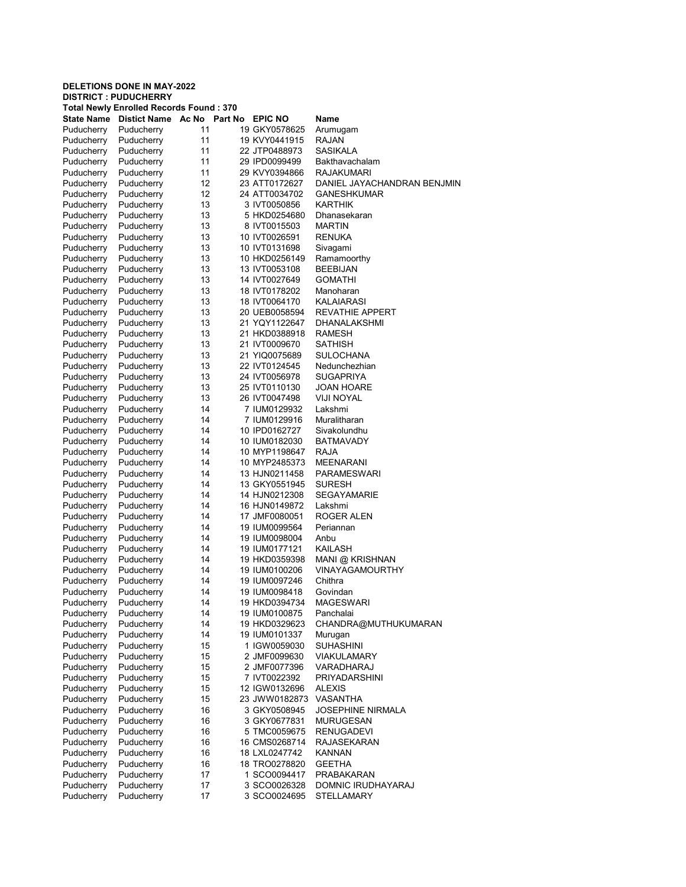| Total Newly Enrolled Records Found : 370 |                          |          |  |                                |                                   |  |  |
|------------------------------------------|--------------------------|----------|--|--------------------------------|-----------------------------------|--|--|
| <b>State Name</b>                        | Distict Name Ac No.      | Part No  |  | <b>EPIC NO</b>                 | Name                              |  |  |
| Puducherry                               | Puducherry               | 11       |  | 19 GKY0578625                  | Arumugam                          |  |  |
| Puducherry                               | Puducherry               | 11       |  | 19 KVY0441915                  | <b>RAJAN</b>                      |  |  |
| Puducherry                               | Puducherry               | 11       |  | 22 JTP0488973                  | SASIKALA                          |  |  |
| Puducherry                               | Puducherry               | 11       |  | 29 IPD0099499                  | Bakthavachalam                    |  |  |
| Puducherry                               | Puducherry               | 11       |  | 29 KVY0394866                  | RAJAKUMARI                        |  |  |
| Puducherry                               | Puducherry               | 12       |  | 23 ATT0172627                  | DANIEL JAYACHANDRAN BENJMIN       |  |  |
| Puducherry                               | Puducherry               | 12       |  | 24 ATT0034702                  | <b>GANESHKUMAR</b>                |  |  |
| Puducherry                               | Puducherry               | 13       |  | 3 IVT0050856                   | <b>KARTHIK</b>                    |  |  |
| Puducherry                               | Puducherry               | 13       |  | 5 HKD0254680                   | Dhanasekaran                      |  |  |
| Puducherry                               | Puducherry               | 13       |  | 8 IVT0015503                   | <b>MARTIN</b>                     |  |  |
| Puducherry                               | Puducherry               | 13       |  | 10 IVT0026591                  | <b>RENUKA</b>                     |  |  |
| Puducherry                               | Puducherry               | 13       |  | 10 IVT0131698                  | Sivagami                          |  |  |
| Puducherry                               | Puducherry               | 13       |  | 10 HKD0256149                  | Ramamoorthy                       |  |  |
| Puducherry                               | Puducherry               | 13       |  | 13 IVT0053108                  | <b>BEEBIJAN</b>                   |  |  |
| Puducherry                               | Puducherry               | 13       |  | 14 IVT0027649                  | <b>GOMATHI</b>                    |  |  |
| Puducherry                               | Puducherry               | 13       |  | 18 IVT0178202                  | Manoharan                         |  |  |
| Puducherry                               | Puducherry               | 13       |  | 18 IVT0064170                  | KALAIARASI                        |  |  |
| Puducherry                               | Puducherry               | 13       |  | 20 UEB0058594                  | <b>REVATHIE APPERT</b>            |  |  |
| Puducherry                               | Puducherry               | 13       |  | 21 YQY1122647                  | <b>DHANALAKSHMI</b>               |  |  |
| Puducherry                               | Puducherry               | 13       |  | 21 HKD0388918                  | RAMESH                            |  |  |
| Puducherry                               | Puducherry               | 13       |  | 21 IVT0009670                  | SATHISH                           |  |  |
| Puducherry                               | Puducherry               | 13       |  | 21 YIQ0075689                  | SULOCHANA                         |  |  |
| Puducherry                               | Puducherry               | 13       |  | 22 IVT0124545                  | Nedunchezhian                     |  |  |
| Puducherry                               | Puducherry               | 13       |  | 24 IVT0056978                  | <b>SUGAPRIYA</b>                  |  |  |
| Puducherry                               | Puducherry               | 13       |  | 25 IVT0110130                  | JOAN HOARE                        |  |  |
| Puducherry                               | Puducherry               | 13       |  | 26 IVT0047498                  | VIJI NOYAL                        |  |  |
| Puducherry                               | Puducherry               | 14       |  | 7 IUM0129932                   | Lakshmi                           |  |  |
| Puducherry                               | Puducherry               | 14       |  | 7 IUM0129916                   | Muralitharan                      |  |  |
| Puducherry                               | Puducherry               | 14       |  | 10 IPD0162727                  | Sivakolundhu                      |  |  |
| Puducherry                               | Puducherry               | 14       |  | 10 IUM0182030                  | <b>BATMAVADY</b>                  |  |  |
| Puducherry                               | Puducherry               | 14       |  | 10 MYP1198647                  | RAJA                              |  |  |
| Puducherry                               | Puducherry               | 14       |  | 10 MYP2485373                  | <b>MEENARANI</b>                  |  |  |
| Puducherry                               | Puducherry               | 14       |  | 13 HJN0211458                  | PARAMESWARI                       |  |  |
| Puducherry                               | Puducherry               | 14       |  | 13 GKY0551945                  | <b>SURESH</b>                     |  |  |
| Puducherry                               | Puducherry               | 14       |  | 14 HJN0212308                  | SEGAYAMARIE                       |  |  |
| Puducherry                               | Puducherry               | 14       |  | 16 HJN0149872                  | Lakshmi                           |  |  |
| Puducherry                               | Puducherry               | 14       |  | 17 JMF0080051                  | ROGER ALEN                        |  |  |
| Puducherry                               | Puducherry               | 14       |  | 19 IUM0099564                  | Periannan                         |  |  |
| Puducherry                               | Puducherry               | 14       |  | 19 IUM0098004                  | Anbu                              |  |  |
| Puducherry                               | Puducherry               | 14       |  | 19 IUM0177121                  | KAILASH                           |  |  |
| Puducherry                               | Puducherry               | 14       |  | 19 HKD0359398                  | MANI @ KRISHNAN                   |  |  |
| Puducherry                               | Puducherry               | 14<br>14 |  | 19 IUM0100206                  | <b>VINAYAGAMOURTHY</b><br>Chithra |  |  |
| Puducherry                               | Puducherry<br>Puducherry | 14       |  | 19 IUM0097246                  | Govindan                          |  |  |
| Puducherry                               | Puducherry               | 14       |  | 19 IUM0098418<br>19 HKD0394734 | MAGESWARI                         |  |  |
| Puducherry<br>Puducherry                 | Puducherry               | 14       |  | 19 IUM0100875                  | Panchalai                         |  |  |
| Puducherry                               | Puducherry               | 14       |  | 19 HKD0329623                  | CHANDRA@MUTHUKUMARAN              |  |  |
| Puducherry                               | Puducherry               | 14       |  | 19 IUM0101337                  | Murugan                           |  |  |
| Puducherry                               | Puducherry               | 15       |  | 1 IGW0059030                   | <b>SUHASHINI</b>                  |  |  |
| Puducherry                               | Puducherry               | 15       |  | 2 JMF0099630                   | VIAKULAMARY                       |  |  |
| Puducherry                               | Puducherry               | 15       |  | 2 JMF0077396                   | VARADHARAJ                        |  |  |
| Puducherry                               | Puducherry               | 15       |  | 7 IVT0022392                   | <b>PRIYADARSHINI</b>              |  |  |
| Puducherry                               | Puducherry               | 15       |  | 12 IGW0132696                  | <b>ALEXIS</b>                     |  |  |
| Puducherry                               | Puducherry               | 15       |  | 23 JWW0182873                  | VASANTHA                          |  |  |
| Puducherry                               | Puducherry               | 16       |  | 3 GKY0508945                   | JOSEPHINE NIRMALA                 |  |  |
| Puducherry                               | Puducherry               | 16       |  | 3 GKY0677831                   | <b>MURUGESAN</b>                  |  |  |
| Puducherry                               | Puducherry               | 16       |  | 5 TMC0059675                   | <b>RENUGADEVI</b>                 |  |  |
| Puducherry                               | Puducherry               | 16       |  | 16 CMS0268714                  | <b>RAJASEKARAN</b>                |  |  |
| Puducherry                               | Puducherry               | 16       |  | 18 LXL0247742                  | <b>KANNAN</b>                     |  |  |
| Puducherry                               | Puducherry               | 16       |  | 18 TRO0278820                  | <b>GEETHA</b>                     |  |  |
| Puducherry                               | Puducherry               | 17       |  | 1 SCO0094417                   | PRABAKARAN                        |  |  |
| Puducherry                               | Puducherry               | 17       |  | 3 SCO0026328                   | DOMNIC IRUDHAYARAJ                |  |  |
| Puducherry                               | Puducherry               | 17       |  | 3 SCO0024695                   | STELLAMARY                        |  |  |
|                                          |                          |          |  |                                |                                   |  |  |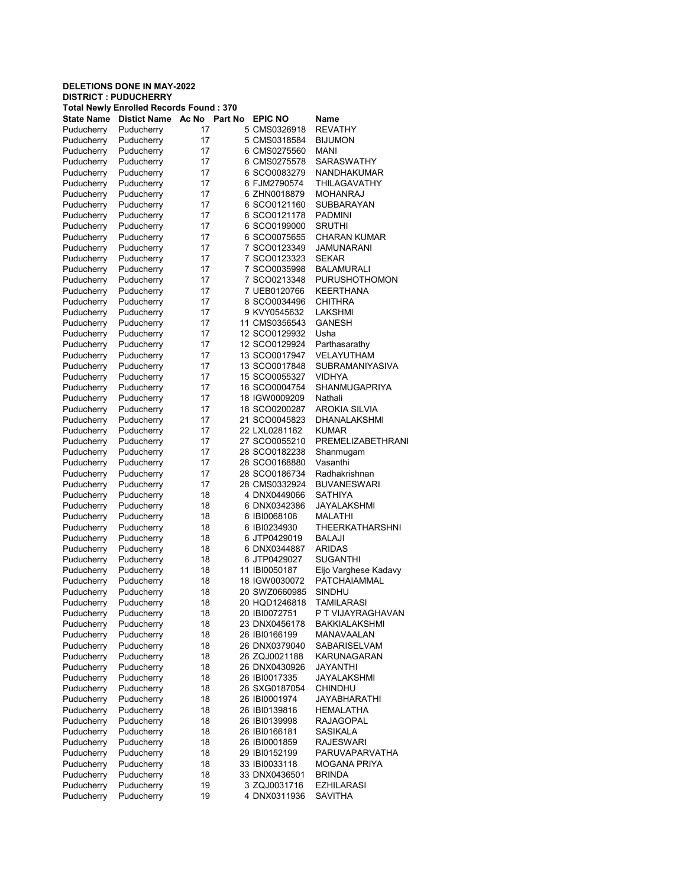| <b>Total Newly Enrolled Records Found: 370</b> |                     |       |         |                |                          |  |
|------------------------------------------------|---------------------|-------|---------|----------------|--------------------------|--|
| <b>State Name</b>                              | <b>Distict Name</b> | Ac No | Part No | <b>EPIC NO</b> | Name                     |  |
| Puducherry                                     | Puducherry          | 17    |         | 5 CMS0326918   | <b>REVATHY</b>           |  |
| Puducherry                                     | Puducherry          | 17    |         | 5 CMS0318584   | <b>BIJUMON</b>           |  |
| Puducherry                                     | Puducherry          | 17    |         | 6 CMS0275560   | MANI                     |  |
| Puducherry                                     | Puducherry          | 17    |         | 6 CMS0275578   | <b>SARASWATHY</b>        |  |
| Puducherry                                     | Puducherry          | 17    |         | 6 SCO0083279   | <b>NANDHAKUMAR</b>       |  |
| Puducherry                                     | Puducherry          | 17    |         | 6 FJM2790574   | THILAGAVATHY             |  |
| Puducherry                                     | Puducherry          | 17    |         | 6 ZHN0018879   | <b>MOHANRAJ</b>          |  |
| Puducherry                                     | Puducherry          | 17    |         | 6 SCO0121160   | SUBBARAYAN               |  |
| Puducherry                                     | Puducherry          | 17    |         | 6 SCO0121178   | <b>PADMINI</b>           |  |
| Puducherry                                     | Puducherry          | 17    |         | 6 SCO0199000   | <b>SRUTHI</b>            |  |
| Puducherry                                     | Puducherry          | 17    |         | 6 SCO0075655   | <b>CHARAN KUMAR</b>      |  |
| Puducherry                                     | Puducherry          | 17    |         | 7 SCO0123349   | <b>JAMUNARANI</b>        |  |
| Puducherry                                     | Puducherry          | 17    |         | 7 SCO0123323   | <b>SEKAR</b>             |  |
| Puducherry                                     | Puducherry          | 17    |         | 7 SCO0035998   | <b>BALAMURALI</b>        |  |
| Puducherry                                     | Puducherry          | 17    |         | 7 SCO0213348   | PURUSHOTHOMON            |  |
| Puducherry                                     | Puducherry          | 17    |         | 7 UEB0120766   | KEERTHANA                |  |
| Puducherry                                     | Puducherry          | 17    |         | 8 SCO0034496   | CHITHRA                  |  |
|                                                | Puducherry          | 17    |         | 9 KVY0545632   | <b>LAKSHMI</b>           |  |
| Puducherry                                     |                     |       |         | 11 CMS0356543  | <b>GANESH</b>            |  |
| Puducherry                                     | Puducherry          | 17    |         | 12 SCO0129932  |                          |  |
| Puducherry                                     | Puducherry          | 17    |         |                | Usha                     |  |
| Puducherry                                     | Puducherry          | 17    |         | 12 SCO0129924  | Parthasarathy            |  |
| Puducherry                                     | Puducherry          | 17    |         | 13 SCO0017947  | VELAYUTHAM               |  |
| Puducherry                                     | Puducherry          | 17    |         | 13 SCO0017848  | <b>SUBRAMANIYASIVA</b>   |  |
| Puducherry                                     | Puducherry          | 17    |         | 15 SCO0055327  | VIDHYA                   |  |
| Puducherry                                     | Puducherry          | 17    |         | 16 SCO0004754  | <b>SHANMUGAPRIYA</b>     |  |
| Puducherry                                     | Puducherry          | 17    |         | 18 IGW0009209  | Nathali                  |  |
| Puducherry                                     | Puducherry          | 17    |         | 18 SCO0200287  | AROKIA SILVIA            |  |
| Puducherry                                     | Puducherry          | 17    |         | 21 SCO0045823  | DHANALAKSHMI             |  |
| Puducherry                                     | Puducherry          | 17    |         | 22 LXL0281162  | <b>KUMAR</b>             |  |
| Puducherry                                     | Puducherry          | 17    |         | 27 SCO0055210  | <b>PREMELIZABETHRANI</b> |  |
| Puducherry                                     | Puducherry          | 17    |         | 28 SCO0182238  | Shanmugam                |  |
| Puducherry                                     | Puducherry          | 17    |         | 28 SCO0168880  | Vasanthi                 |  |
| Puducherry                                     | Puducherry          | 17    |         | 28 SCO0186734  | Radhakrishnan            |  |
| Puducherry                                     | Puducherry          | 17    |         | 28 CMS0332924  | <b>BUVANESWARI</b>       |  |
| Puducherry                                     | Puducherry          | 18    |         | 4 DNX0449066   | SATHIYA                  |  |
| Puducherry                                     | Puducherry          | 18    |         | 6 DNX0342386   | JAYALAKSHMI              |  |
| Puducherry                                     | Puducherry          | 18    |         | 6 IBI0068106   | MALATHI                  |  |
| Puducherry                                     | Puducherry          | 18    |         | 6 IBI0234930   | <b>THEERKATHARSHNI</b>   |  |
| Puducherry                                     | Puducherry          | 18    |         | 6 JTP0429019   | BALAJI                   |  |
| Puducherry                                     | Puducherry          | 18    |         | 6 DNX0344887   | <b>ARIDAS</b>            |  |
| Puducherry                                     | Puducherry          | 18    |         | 6 JTP0429027   | SUGANTHI                 |  |
| Puducherry                                     | Puducherry          | 18    |         | 11 IBI0050187  | Eljo Varghese Kadavy     |  |
| Puducherry                                     | Puducherry          | 18    |         | 18 IGW0030072  | <b>PATCHAIAMMAL</b>      |  |
| Puducherry                                     | Puducherry          | 18    |         | 20 SWZ0660985  | <b>SINDHU</b>            |  |
| Puducherry                                     | Puducherry          | 18    |         | 20 HQD1246818  | TAMILARASI               |  |
| Puducherry                                     | Puducherry          | 18    |         | 20 IBI0072751  | P T VIJAYRAGHAVAN        |  |
| Puducherry                                     | Puducherry          | 18    |         | 23 DNX0456178  | BAKKIALAKSHMI            |  |
| Puducherry                                     | Puducherry          | 18    |         | 26 IBI0166199  | MANAVAALAN               |  |
| Puducherry                                     | Puducherry          | 18    |         | 26 DNX0379040  | SABARISELVAM             |  |
| Puducherry                                     | Puducherry          | 18    |         | 26 ZQJ0021188  | <b>KARUNAGARAN</b>       |  |
| Puducherry                                     | Puducherry          | 18    |         | 26 DNX0430926  | JAYANTHI                 |  |
|                                                |                     | 18    |         | 26 IBI0017335  | JAYALAKSHMI              |  |
| Puducherry                                     | Puducherry          |       |         |                |                          |  |
| Puducherry                                     | Puducherry          | 18    |         | 26 SXG0187054  | <b>CHINDHU</b>           |  |
| Puducherry                                     | Puducherry          | 18    |         | 26 IBI0001974  | JAYABHARATHI             |  |
| Puducherry                                     | Puducherry          | 18    |         | 26 IBI0139816  | <b>HEMALATHA</b>         |  |
| Puducherry                                     | Puducherry          | 18    |         | 26 IBI0139998  | <b>RAJAGOPAL</b>         |  |
| Puducherry                                     | Puducherry          | 18    |         | 26 IBI0166181  | <b>SASIKALA</b>          |  |
| Puducherry                                     | Puducherry          | 18    |         | 26 IBI0001859  | <b>RAJESWARI</b>         |  |
| Puducherry                                     | Puducherry          | 18    |         | 29 IBI0152199  | PARUVAPARVATHA           |  |
| Puducherry                                     | Puducherry          | 18    |         | 33 IBI0033118  | MOGANA PRIYA             |  |
| Puducherry                                     | Puducherry          | 18    |         | 33 DNX0436501  | <b>BRINDA</b>            |  |
| Puducherry                                     | Puducherry          | 19    |         | 3 ZQJ0031716   | <b>EZHILARASI</b>        |  |
| Puducherry                                     | Puducherry          | 19    |         | 4 DNX0311936   | SAVITHA                  |  |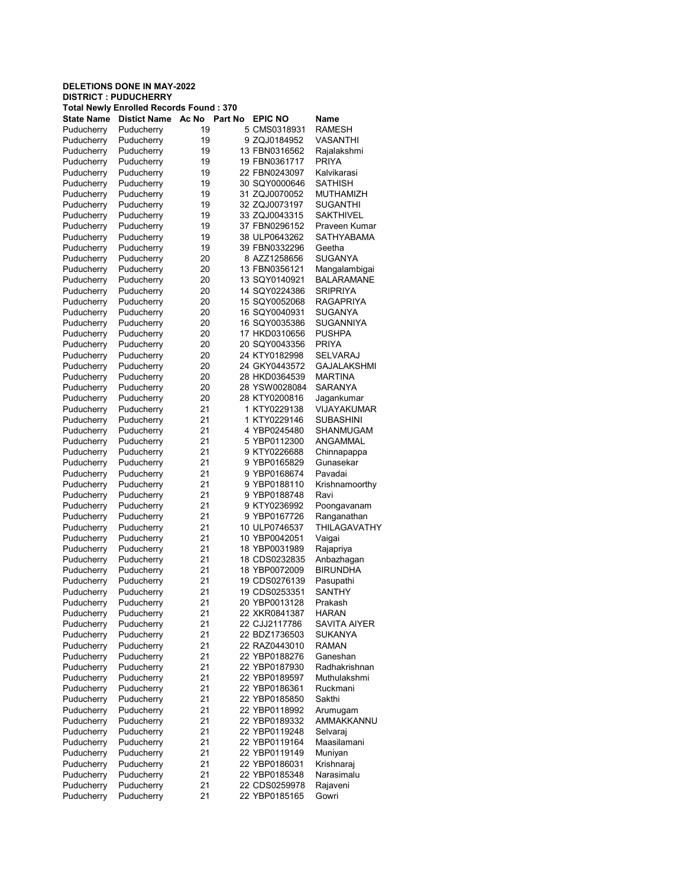| <b>Total Newly Enrolled Records Found: 370</b> |                     |          |         |                |                     |  |
|------------------------------------------------|---------------------|----------|---------|----------------|---------------------|--|
| <b>State Name</b>                              | <b>Distict Name</b> | Ac No    | Part No | <b>EPIC NO</b> | Name                |  |
| Puducherry                                     | Puducherry          | 19       |         | 5 CMS0318931   | <b>RAMESH</b>       |  |
| Puducherry                                     | Puducherry          | 19       |         | 9 ZQJ0184952   | <b>VASANTHI</b>     |  |
| Puducherry                                     | Puducherry          | 19       |         | 13 FBN0316562  | Rajalakshmi         |  |
| Puducherry                                     | Puducherry          | 19       |         | 19 FBN0361717  | <b>PRIYA</b>        |  |
| Puducherry                                     | Puducherry          | 19       |         | 22 FBN0243097  | Kalvikarasi         |  |
| Puducherry                                     | Puducherry          | 19       |         | 30 SQY0000646  | <b>SATHISH</b>      |  |
| Puducherry                                     | Puducherry          | 19       |         | 31 ZQJ0070052  | MUTHAMIZH           |  |
| Puducherry                                     | Puducherry          | 19       |         | 32 ZQJ0073197  | SUGANTHI            |  |
| Puducherry                                     | Puducherry          | 19       |         | 33 ZQJ0043315  | <b>SAKTHIVEL</b>    |  |
| Puducherry                                     | Puducherry          | 19       |         | 37 FBN0296152  | Praveen Kumar       |  |
| Puducherry                                     | Puducherry          | 19       |         | 38 ULP0643262  | <b>SATHYARAMA</b>   |  |
| Puducherry                                     | Puducherry          | 19       |         | 39 FBN0332296  | Geetha              |  |
| Puducherry                                     | Puducherry          | 20       |         | 8 AZZ1258656   | <b>SUGANYA</b>      |  |
| Puducherry                                     | Puducherry          | 20       |         | 13 FBN0356121  | Mangalambigai       |  |
| Puducherry                                     | Puducherry          | 20       |         | 13 SQY0140921  | <b>BALARAMANE</b>   |  |
| Puducherry                                     | Puducherry          | 20       |         | 14 SQY0224386  | <b>SRIPRIYA</b>     |  |
| Puducherry                                     | Puducherry          | 20       |         | 15 SQY0052068  | RAGAPRIYA           |  |
| Puducherry                                     | Puducherry          | 20       |         | 16 SQY0040931  | <b>SUGANYA</b>      |  |
|                                                |                     |          |         |                |                     |  |
| Puducherry                                     | Puducherry          | 20       |         | 16 SQY0035386  | SUGANNIYA           |  |
| Puducherry                                     | Puducherry          | 20       |         | 17 HKD0310656  | <b>PUSHPA</b>       |  |
| Puducherry                                     | Puducherry          | 20       |         | 20 SQY0043356  | <b>PRIYA</b>        |  |
| Puducherry                                     | Puducherry          | 20       |         | 24 KTY0182998  | <b>SELVARAJ</b>     |  |
| Puducherry                                     | Puducherry          | 20       |         | 24 GKY0443572  | <b>GAJALAKSHMI</b>  |  |
| Puducherry                                     | Puducherry          | 20       |         | 28 HKD0364539  | <b>MARTINA</b>      |  |
| Puducherry                                     | Puducherry          | 20       |         | 28 YSW0028084  | <b>SARANYA</b>      |  |
| Puducherry                                     | Puducherry          | 20       |         | 28 KTY0200816  | Jagankumar          |  |
| Puducherry                                     | Puducherry          | 21       |         | 1 KTY0229138   | VIJAYAKUMAR         |  |
| Puducherry                                     | Puducherry          | 21       |         | 1 KTY0229146   | <b>SUBASHINI</b>    |  |
| Puducherry                                     | Puducherry          | 21       |         | 4 YBP0245480   | SHANMUGAM           |  |
| Puducherry                                     | Puducherry          | 21       |         | 5 YBP0112300   | ANGAMMAL            |  |
| Puducherry                                     | Puducherry          | 21       |         | 9 KTY0226688   | Chinnapappa         |  |
| Puducherry                                     | Puducherry          | 21       |         | 9 YBP0165829   | Gunasekar           |  |
| Puducherry                                     | Puducherry          | 21       |         | 9 YBP0168674   | Pavadai             |  |
| Puducherry                                     | Puducherry          | 21       |         | 9 YBP0188110   | Krishnamoorthy      |  |
| Puducherry                                     | Puducherry          | 21       |         | 9 YBP0188748   | Ravi                |  |
| Puducherry                                     | Puducherry          | 21       |         | 9 KTY0236992   | Poongavanam         |  |
| Puducherry                                     | Puducherry          | 21       |         | 9 YBP0167726   | Ranganathan         |  |
| Puducherry                                     | Puducherry          | 21       |         | 10 ULP0746537  | <b>THILAGAVATHY</b> |  |
| Puducherry                                     | Puducherry          | 21       |         | 10 YBP0042051  | Vaigai              |  |
| Puducherry                                     | Puducherry          | 21       |         | 18 YBP0031989  | Rajapriya           |  |
| Puducherry                                     | Puducherry          | 21       |         | 18 CDS0232835  | Anbazhagan          |  |
| Puducherry                                     | Puducherry          | 21       |         | 18 YBP0072009  | <b>BIRUNDHA</b>     |  |
| Puducherry                                     | Puducherry          | 21       |         | 19 CDS0276139  | Pasupathi           |  |
| Puducherry                                     | Puducherry          | 21       |         | 19 CDS0253351  | <b>SANTHY</b>       |  |
| Puducherry                                     | Puducherry          | 21       |         | 20 YBP0013128  | Prakash             |  |
| Puducherry                                     |                     |          |         | 22 XKR0841387  |                     |  |
| Puducherry                                     | Puducherry          | 21<br>21 |         |                | HARAN               |  |
|                                                | Puducherry          |          |         | 22 CJJ2117786  | SAVITA AIYER        |  |
| Puducherry                                     | Puducherry          | 21       |         | 22 BDZ1736503  | <b>SUKANYA</b>      |  |
| Puducherry                                     | Puducherry          | 21       |         | 22 RAZ0443010  | <b>RAMAN</b>        |  |
| Puducherry                                     | Puducherry          | 21       |         | 22 YBP0188276  | Ganeshan            |  |
| Puducherry                                     | Puducherry          | 21       |         | 22 YBP0187930  | Radhakrishnan       |  |
| Puducherry                                     | Puducherry          | 21       |         | 22 YBP0189597  | Muthulakshmi        |  |
| Puducherry                                     | Puducherry          | 21       |         | 22 YBP0186361  | Ruckmani            |  |
| Puducherry                                     | Puducherry          | 21       |         | 22 YBP0185850  | Sakthi              |  |
| Puducherry                                     | Puducherry          | 21       |         | 22 YBP0118992  | Arumugam            |  |
| Puducherry                                     | Puducherry          | 21       |         | 22 YBP0189332  | AMMAKKANNU          |  |
| Puducherry                                     | Puducherry          | 21       |         | 22 YBP0119248  | Selvaraj            |  |
| Puducherry                                     | Puducherry          | 21       |         | 22 YBP0119164  | Maasilamani         |  |
| Puducherry                                     | Puducherry          | 21       |         | 22 YBP0119149  | Muniyan             |  |
| Puducherry                                     | Puducherry          | 21       |         | 22 YBP0186031  | Krishnaraj          |  |
| Puducherry                                     | Puducherry          | 21       |         | 22 YBP0185348  | Narasimalu          |  |
| Puducherry                                     | Puducherry          | 21       |         | 22 CDS0259978  | Rajaveni            |  |
| Puducherry                                     | Puducherry          | 21       |         | 22 YBP0185165  | Gowri               |  |